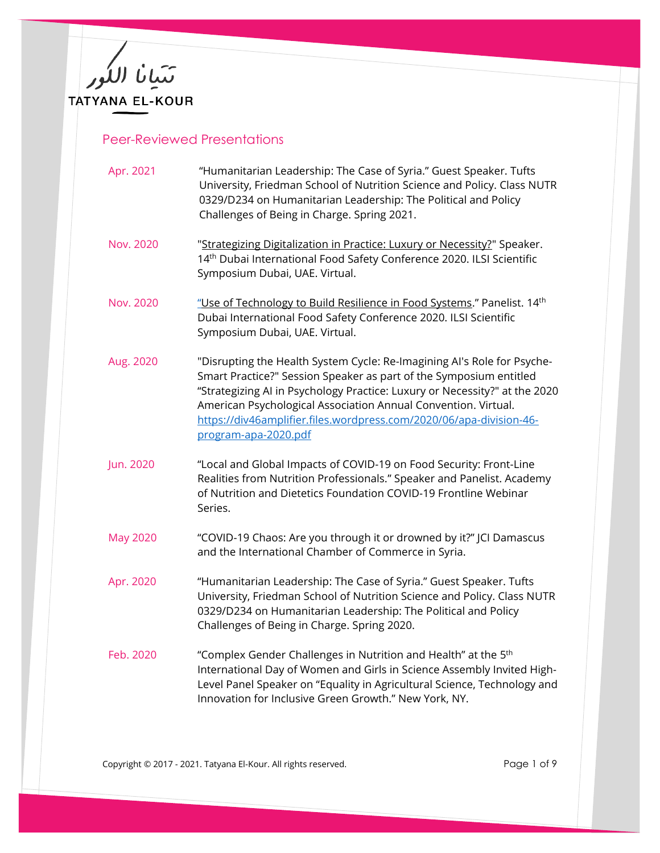

## Peer-Reviewed Presentations

| Apr. 2021       | "Humanitarian Leadership: The Case of Syria." Guest Speaker. Tufts<br>University, Friedman School of Nutrition Science and Policy. Class NUTR<br>0329/D234 on Humanitarian Leadership: The Political and Policy<br>Challenges of Being in Charge. Spring 2021.                                                                                                                               |
|-----------------|----------------------------------------------------------------------------------------------------------------------------------------------------------------------------------------------------------------------------------------------------------------------------------------------------------------------------------------------------------------------------------------------|
| Nov. 2020       | "Strategizing Digitalization in Practice: Luxury or Necessity?" Speaker.<br>14 <sup>th</sup> Dubai International Food Safety Conference 2020. ILSI Scientific<br>Symposium Dubai, UAE. Virtual.                                                                                                                                                                                              |
| Nov. 2020       | "Use of Technology to Build Resilience in Food Systems." Panelist. 14th<br>Dubai International Food Safety Conference 2020. ILSI Scientific<br>Symposium Dubai, UAE. Virtual.                                                                                                                                                                                                                |
| Aug. 2020       | "Disrupting the Health System Cycle: Re-Imagining AI's Role for Psyche-<br>Smart Practice?" Session Speaker as part of the Symposium entitled<br>"Strategizing AI in Psychology Practice: Luxury or Necessity?" at the 2020<br>American Psychological Association Annual Convention. Virtual.<br>https://div46amplifier.files.wordpress.com/2020/06/apa-division-46-<br>program-apa-2020.pdf |
| Jun. 2020       | "Local and Global Impacts of COVID-19 on Food Security: Front-Line<br>Realities from Nutrition Professionals." Speaker and Panelist. Academy<br>of Nutrition and Dietetics Foundation COVID-19 Frontline Webinar<br>Series.                                                                                                                                                                  |
| <b>May 2020</b> | "COVID-19 Chaos: Are you through it or drowned by it?" JCI Damascus<br>and the International Chamber of Commerce in Syria.                                                                                                                                                                                                                                                                   |
| Apr. 2020       | "Humanitarian Leadership: The Case of Syria." Guest Speaker. Tufts<br>University, Friedman School of Nutrition Science and Policy. Class NUTR<br>0329/D234 on Humanitarian Leadership: The Political and Policy<br>Challenges of Being in Charge. Spring 2020.                                                                                                                               |
| Feb. 2020       | "Complex Gender Challenges in Nutrition and Health" at the 5th<br>International Day of Women and Girls in Science Assembly Invited High-<br>Level Panel Speaker on "Equality in Agricultural Science, Technology and<br>Innovation for Inclusive Green Growth." New York, NY.                                                                                                                |

Copyright © 2017 - 2021. Tatyana El-Kour. All rights reserved. The match of 9 Page 1 of 9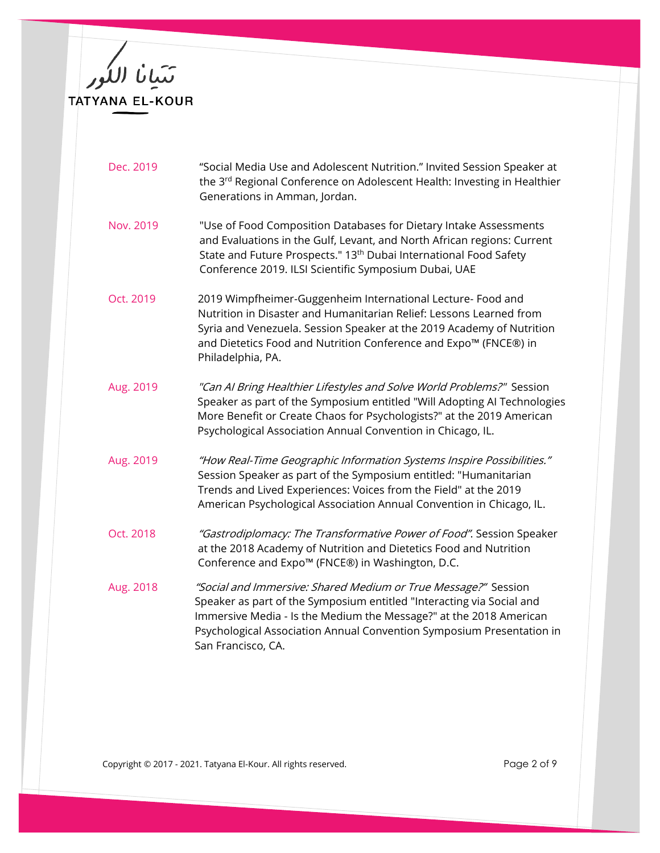TATYANA EL-KOUR

| Dec. 2019 | "Social Media Use and Adolescent Nutrition." Invited Session Speaker at              |
|-----------|--------------------------------------------------------------------------------------|
|           | the 3 <sup>rd</sup> Regional Conference on Adolescent Health: Investing in Healthier |
|           | Generations in Amman, Jordan.                                                        |

- Nov. 2019 "Use of Food Composition Databases for Dietary Intake [Assessments](https://apps.apa.org/convsearch/article.aspx?id=3809&type=abstract) and [Evaluations](https://apps.apa.org/convsearch/article.aspx?id=3809&type=abstract) in the Gulf, Levant, and North African regions: Current State and Future [Prospects."](https://apps.apa.org/convsearch/article.aspx?id=3809&type=abstract) 13<sup>th</sup> Dubai International Food Safety Conference 2019. ILSI Scientific Symposium Dubai, UAE
- Oct. 2019 2019 Wimpfheimer-Guggenheim International Lecture- Food and Nutrition in Disaster and Humanitarian Relief: Lessons Learned from Syria and Venezuela. Session Speaker at the 2019 Academy of Nutrition and Dietetics Food and Nutrition Conference and Expo™ (FNCE®) in Philadelphia, PA.
- Aug. 2019 "Can AI Bring Healthier Lifestyles and Solve World Problems?" Session Speaker as part of the Symposium entitled "Will Adopting AI Technologies More Benefit or Create Chaos for Psychologists?" at the 2019 American Psychological Association Annual Convention in Chicago, IL.
- Aug. 2019 "How Real-Time Geographic Information Systems Inspire Possibilities." Session Speaker as part of the Symposium entitled: "Humanitarian Trends and Lived Experiences: Voices from the Field" at the 2019 American Psychological Association Annual Convention in Chicago, IL.
- Oct. 2018 "Gastrodiplomacy: The Transformative Power of Food". Session Speaker at the 2018 Academy of Nutrition and Dietetics Food and Nutrition Conference and Expo™ (FNCE®) in Washington, D.C.
- Aug. 2018 "Social and Immersive: Shared Medium or True Message?" Session Speaker as part of the Symposium entitled "Interacting via Social and Immersive Media - Is the Medium the Message?" at the 2018 American Psychological Association Annual Convention Symposium Presentation in San Francisco, CA.

Copyright © 2017 - 2021. Tatyana El-Kour. All rights reserved. The example of 9 and 2 of 9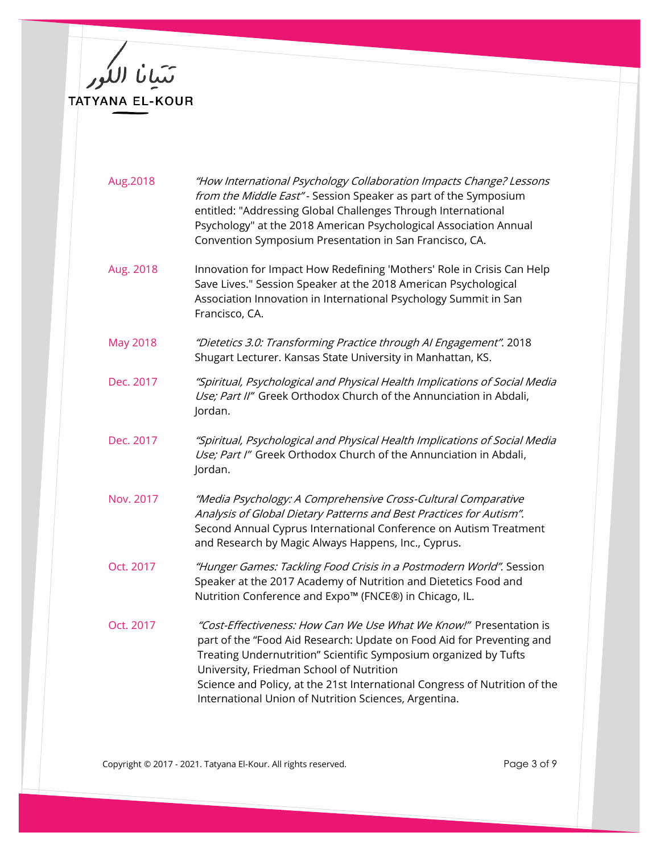تتبانا اللور<br>بعد بيورسية TATYANA EL-KOUR

| Aug.2018        | "How International Psychology Collaboration Impacts Change? Lessons<br>from the Middle East"- Session Speaker as part of the Symposium<br>entitled: "Addressing Global Challenges Through International<br>Psychology" at the 2018 American Psychological Association Annual<br>Convention Symposium Presentation in San Francisco, CA.                                                            |
|-----------------|----------------------------------------------------------------------------------------------------------------------------------------------------------------------------------------------------------------------------------------------------------------------------------------------------------------------------------------------------------------------------------------------------|
| Aug. 2018       | Innovation for Impact How Redefining 'Mothers' Role in Crisis Can Help<br>Save Lives." Session Speaker at the 2018 American Psychological<br>Association Innovation in International Psychology Summit in San<br>Francisco, CA.                                                                                                                                                                    |
| <b>May 2018</b> | "Dietetics 3.0: Transforming Practice through AI Engagement". 2018<br>Shugart Lecturer. Kansas State University in Manhattan, KS.                                                                                                                                                                                                                                                                  |
| Dec. 2017       | "Spiritual, Psychological and Physical Health Implications of Social Media<br>Use; Part II" Greek Orthodox Church of the Annunciation in Abdali,<br>Jordan.                                                                                                                                                                                                                                        |
| Dec. 2017       | "Spiritual, Psychological and Physical Health Implications of Social Media<br>Use; Part I" Greek Orthodox Church of the Annunciation in Abdali,<br>Jordan.                                                                                                                                                                                                                                         |
| Nov. 2017       | "Media Psychology: A Comprehensive Cross-Cultural Comparative<br>Analysis of Global Dietary Patterns and Best Practices for Autism".<br>Second Annual Cyprus International Conference on Autism Treatment<br>and Research by Magic Always Happens, Inc., Cyprus.                                                                                                                                   |
| Oct. 2017       | "Hunger Games: Tackling Food Crisis in a Postmodern World". Session<br>Speaker at the 2017 Academy of Nutrition and Dietetics Food and<br>Nutrition Conference and Expo™ (FNCE®) in Chicago, IL.                                                                                                                                                                                                   |
| Oct. 2017       | "Cost-Effectiveness: How Can We Use What We Know!" Presentation is<br>part of the "Food Aid Research: Update on Food Aid for Preventing and<br>Treating Undernutrition" Scientific Symposium organized by Tufts<br>University, Friedman School of Nutrition<br>Science and Policy, at the 21st International Congress of Nutrition of the<br>International Union of Nutrition Sciences, Argentina. |

Copyright © 2017 - 2021. Tatyana El-Kour. All rights reserved. The match of Page 3 of 9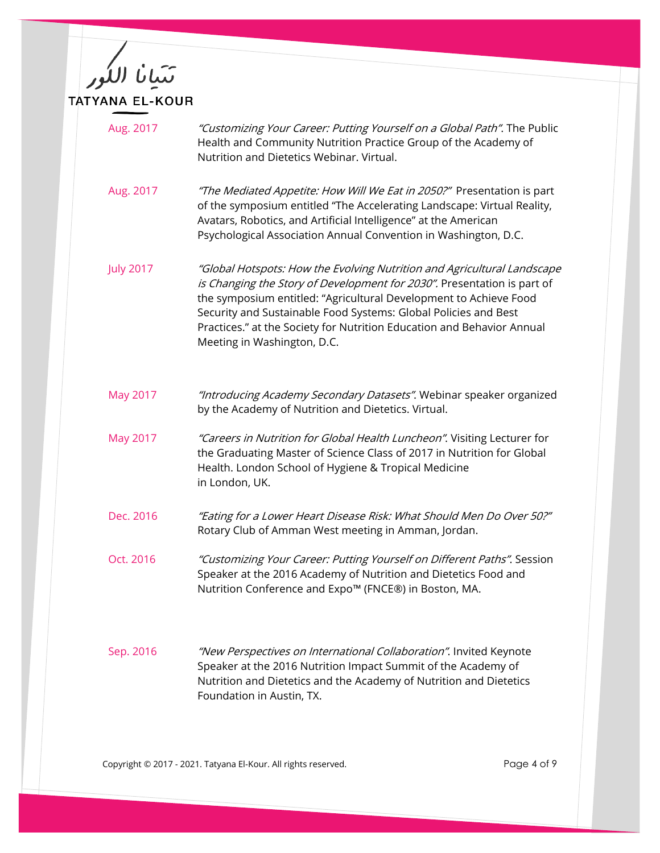تتيانا اللكور<br>مستحدد اللغور TATYANA EL-KOUR

| Aug. 2017        | "Customizing Your Career: Putting Yourself on a Global Path". The Public<br>Health and Community Nutrition Practice Group of the Academy of<br>Nutrition and Dietetics Webinar. Virtual.                                                                                                                                                                                                            |
|------------------|-----------------------------------------------------------------------------------------------------------------------------------------------------------------------------------------------------------------------------------------------------------------------------------------------------------------------------------------------------------------------------------------------------|
| Aug. 2017        | "The Mediated Appetite: How Will We Eat in 2050?" Presentation is part<br>of the symposium entitled "The Accelerating Landscape: Virtual Reality,<br>Avatars, Robotics, and Artificial Intelligence" at the American<br>Psychological Association Annual Convention in Washington, D.C.                                                                                                             |
| <b>July 2017</b> | "Global Hotspots: How the Evolving Nutrition and Agricultural Landscape<br>is Changing the Story of Development for 2030". Presentation is part of<br>the symposium entitled: "Agricultural Development to Achieve Food<br>Security and Sustainable Food Systems: Global Policies and Best<br>Practices." at the Society for Nutrition Education and Behavior Annual<br>Meeting in Washington, D.C. |
| May 2017         | "Introducing Academy Secondary Datasets". Webinar speaker organized<br>by the Academy of Nutrition and Dietetics. Virtual.                                                                                                                                                                                                                                                                          |
| May 2017         | "Careers in Nutrition for Global Health Luncheon". Visiting Lecturer for<br>the Graduating Master of Science Class of 2017 in Nutrition for Global<br>Health. London School of Hygiene & Tropical Medicine<br>in London, UK.                                                                                                                                                                        |
| Dec. 2016        | "Eating for a Lower Heart Disease Risk: What Should Men Do Over 50?"<br>Rotary Club of Amman West meeting in Amman, Jordan.                                                                                                                                                                                                                                                                         |
| Oct. 2016        | "Customizing Your Career: Putting Yourself on Different Paths". Session<br>Speaker at the 2016 Academy of Nutrition and Dietetics Food and<br>Nutrition Conference and Expo <sup>™</sup> (FNCE®) in Boston, MA.                                                                                                                                                                                     |
| Sep. 2016        | "New Perspectives on International Collaboration". Invited Keynote<br>Speaker at the 2016 Nutrition Impact Summit of the Academy of<br>Nutrition and Dietetics and the Academy of Nutrition and Dietetics<br>Foundation in Austin, TX.                                                                                                                                                              |

Copyright © 2017 - 2021. Tatyana El-Kour. All rights reserved. The magnitude of 9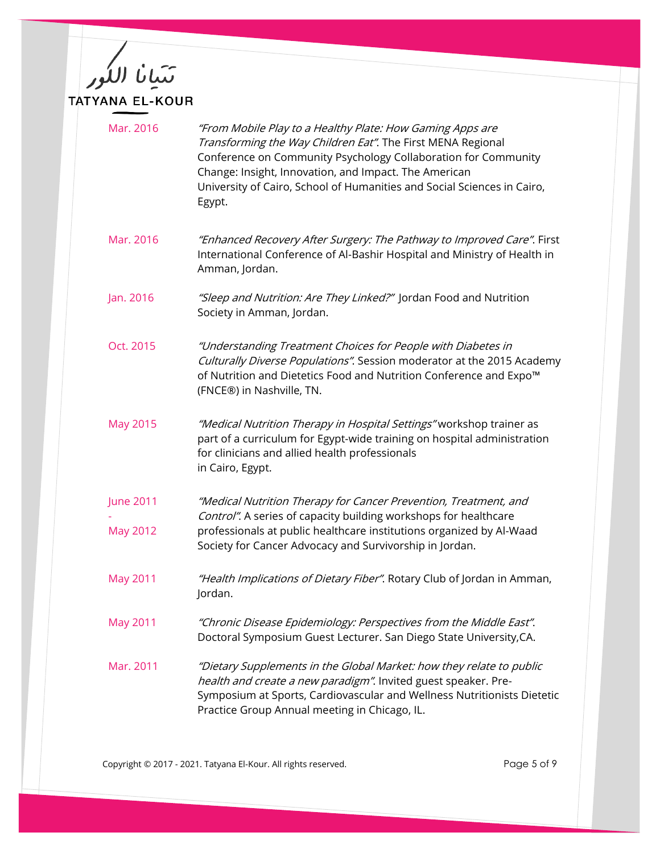تتبانا اللور<br>بعد بيورسية TATYANA EL-KOUR

| Mar. 2016        | "From Mobile Play to a Healthy Plate: How Gaming Apps are<br>Transforming the Way Children Eat". The First MENA Regional<br>Conference on Community Psychology Collaboration for Community<br>Change: Insight, Innovation, and Impact. The American<br>University of Cairo, School of Humanities and Social Sciences in Cairo,<br>Egypt. |
|------------------|------------------------------------------------------------------------------------------------------------------------------------------------------------------------------------------------------------------------------------------------------------------------------------------------------------------------------------------|
| Mar. 2016        | "Enhanced Recovery After Surgery: The Pathway to Improved Care". First<br>International Conference of Al-Bashir Hospital and Ministry of Health in<br>Amman, Jordan.                                                                                                                                                                     |
| Jan. 2016        | "Sleep and Nutrition: Are They Linked?" Jordan Food and Nutrition<br>Society in Amman, Jordan.                                                                                                                                                                                                                                           |
| Oct. 2015        | "Understanding Treatment Choices for People with Diabetes in<br>Culturally Diverse Populations". Session moderator at the 2015 Academy<br>of Nutrition and Dietetics Food and Nutrition Conference and Expo™<br>(FNCE®) in Nashville, TN.                                                                                                |
| May 2015         | "Medical Nutrition Therapy in Hospital Settings" workshop trainer as<br>part of a curriculum for Egypt-wide training on hospital administration<br>for clinicians and allied health professionals<br>in Cairo, Egypt.                                                                                                                    |
| <b>June 2011</b> | "Medical Nutrition Therapy for Cancer Prevention, Treatment, and                                                                                                                                                                                                                                                                         |
| May 2012         | Control". A series of capacity building workshops for healthcare<br>professionals at public healthcare institutions organized by Al-Waad<br>Society for Cancer Advocacy and Survivorship in Jordan.                                                                                                                                      |
| <b>May 2011</b>  | "Health Implications of Dietary Fiber". Rotary Club of Jordan in Amman,<br>Jordan.                                                                                                                                                                                                                                                       |
| <b>May 2011</b>  | "Chronic Disease Epidemiology: Perspectives from the Middle East".<br>Doctoral Symposium Guest Lecturer. San Diego State University, CA.                                                                                                                                                                                                 |
| Mar. 2011        | "Dietary Supplements in the Global Market: how they relate to public<br>health and create a new paradigm". Invited guest speaker. Pre-<br>Symposium at Sports, Cardiovascular and Wellness Nutritionists Dietetic<br>Practice Group Annual meeting in Chicago, IL.                                                                       |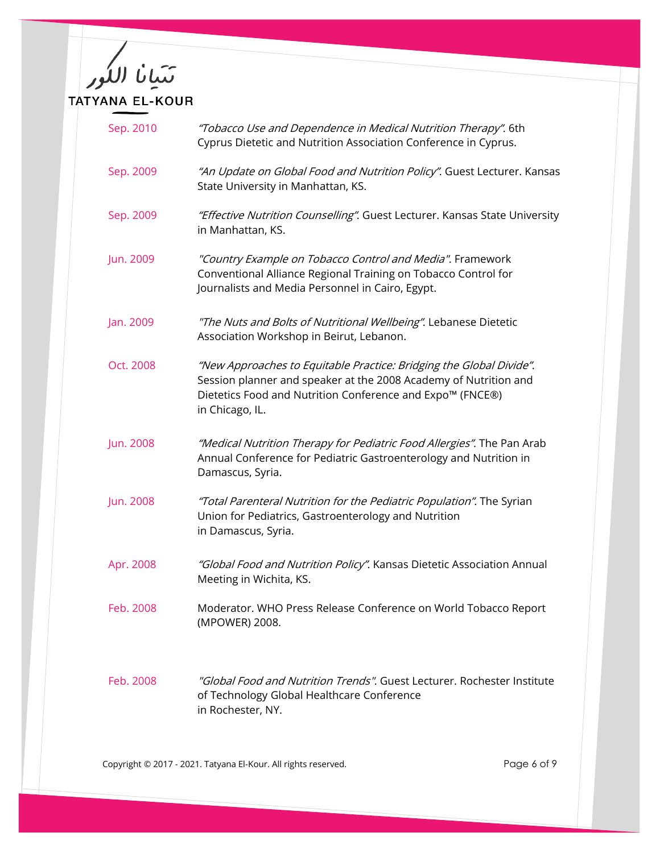

| Sep. 2010 | "Tobacco Use and Dependence in Medical Nutrition Therapy". 6th<br>Cyprus Dietetic and Nutrition Association Conference in Cyprus.                                                                                       |
|-----------|-------------------------------------------------------------------------------------------------------------------------------------------------------------------------------------------------------------------------|
| Sep. 2009 | "An Update on Global Food and Nutrition Policy". Guest Lecturer. Kansas<br>State University in Manhattan, KS.                                                                                                           |
| Sep. 2009 | "Effective Nutrition Counselling". Guest Lecturer. Kansas State University<br>in Manhattan, KS.                                                                                                                         |
| Jun. 2009 | "Country Example on Tobacco Control and Media". Framework<br>Conventional Alliance Regional Training on Tobacco Control for<br>Journalists and Media Personnel in Cairo, Egypt.                                         |
| Jan. 2009 | "The Nuts and Bolts of Nutritional Wellbeing". Lebanese Dietetic<br>Association Workshop in Beirut, Lebanon.                                                                                                            |
| Oct. 2008 | "New Approaches to Equitable Practice: Bridging the Global Divide".<br>Session planner and speaker at the 2008 Academy of Nutrition and<br>Dietetics Food and Nutrition Conference and Expo™ (FNCE®)<br>in Chicago, IL. |
| Jun. 2008 | "Medical Nutrition Therapy for Pediatric Food Allergies". The Pan Arab<br>Annual Conference for Pediatric Gastroenterology and Nutrition in<br>Damascus, Syria.                                                         |
| Jun. 2008 | "Total Parenteral Nutrition for the Pediatric Population". The Syrian<br>Union for Pediatrics, Gastroenterology and Nutrition<br>in Damascus, Syria.                                                                    |
| Apr. 2008 | "Global Food and Nutrition Policy". Kansas Dietetic Association Annual<br>Meeting in Wichita, KS.                                                                                                                       |
| Feb. 2008 | Moderator. WHO Press Release Conference on World Tobacco Report<br>(MPOWER) 2008.                                                                                                                                       |
| Feb. 2008 | "Global Food and Nutrition Trends". Guest Lecturer. Rochester Institute<br>of Technology Global Healthcare Conference<br>in Rochester, NY.                                                                              |

Copyright © 2017 - 2021. Tatyana El-Kour. All rights reserved. The magnitude of 9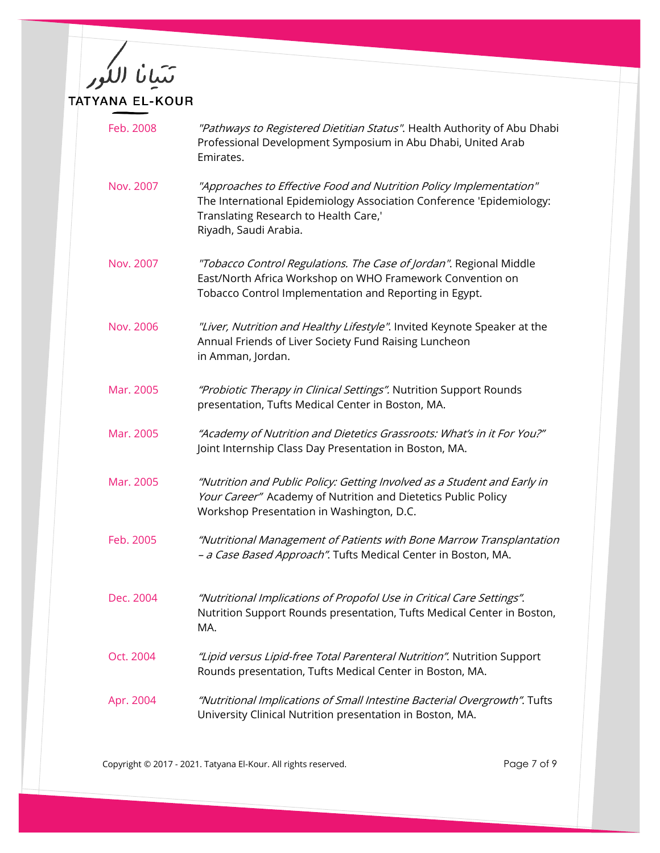تتبانا اللور<br>بعد بيورسية TATYANA EL-KOUR

| Feb. 2008 | "Pathways to Registered Dietitian Status". Health Authority of Abu Dhabi<br>Professional Development Symposium in Abu Dhabi, United Arab<br>Emirates.                                                        |
|-----------|--------------------------------------------------------------------------------------------------------------------------------------------------------------------------------------------------------------|
| Nov. 2007 | "Approaches to Effective Food and Nutrition Policy Implementation"<br>The International Epidemiology Association Conference 'Epidemiology:<br>Translating Research to Health Care,'<br>Riyadh, Saudi Arabia. |
| Nov. 2007 | "Tobacco Control Regulations. The Case of Jordan". Regional Middle<br>East/North Africa Workshop on WHO Framework Convention on<br>Tobacco Control Implementation and Reporting in Egypt.                    |
| Nov. 2006 | "Liver, Nutrition and Healthy Lifestyle". Invited Keynote Speaker at the<br>Annual Friends of Liver Society Fund Raising Luncheon<br>in Amman, Jordan.                                                       |
| Mar. 2005 | "Probiotic Therapy in Clinical Settings". Nutrition Support Rounds<br>presentation, Tufts Medical Center in Boston, MA.                                                                                      |
| Mar. 2005 | "Academy of Nutrition and Dietetics Grassroots: What's in it For You?"<br>Joint Internship Class Day Presentation in Boston, MA.                                                                             |
| Mar. 2005 | "Nutrition and Public Policy: Getting Involved as a Student and Early in<br>Your Career" Academy of Nutrition and Dietetics Public Policy<br>Workshop Presentation in Washington, D.C.                       |
| Feb. 2005 | "Nutritional Management of Patients with Bone Marrow Transplantation<br>- a Case Based Approach". Tufts Medical Center in Boston, MA.                                                                        |
| Dec. 2004 | "Nutritional Implications of Propofol Use in Critical Care Settings".<br>Nutrition Support Rounds presentation, Tufts Medical Center in Boston,<br>MA.                                                       |
| Oct. 2004 | "Lipid versus Lipid-free Total Parenteral Nutrition". Nutrition Support<br>Rounds presentation, Tufts Medical Center in Boston, MA.                                                                          |
| Apr. 2004 | "Nutritional Implications of Small Intestine Bacterial Overgrowth". Tufts<br>University Clinical Nutrition presentation in Boston, MA.                                                                       |

Copyright © 2017 - 2021. Tatyana El-Kour. All rights reserved. Copyright © 2017 - 2021. Tatyana El-Kour. All rights reserved.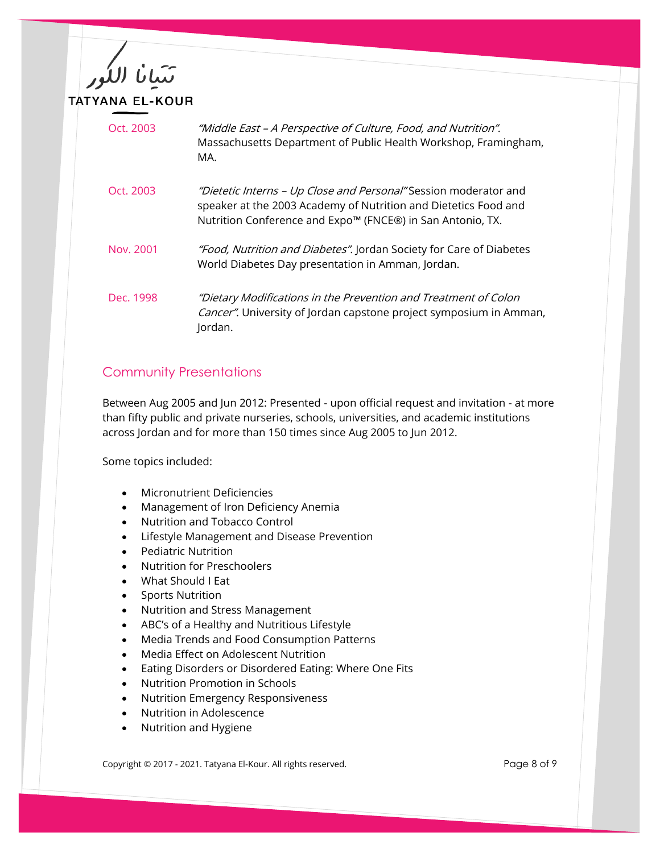

| Oct. 2003 | "Middle East - A Perspective of Culture, Food, and Nutrition".<br>Massachusetts Department of Public Health Workshop, Framingham,<br>MA.                                                          |
|-----------|---------------------------------------------------------------------------------------------------------------------------------------------------------------------------------------------------|
| Oct. 2003 | "Dietetic Interns - Up Close and Personal" Session moderator and<br>speaker at the 2003 Academy of Nutrition and Dietetics Food and<br>Nutrition Conference and Expo™ (FNCE®) in San Antonio, TX. |
| Nov. 2001 | "Food, Nutrition and Diabetes". Jordan Society for Care of Diabetes<br>World Diabetes Day presentation in Amman, Jordan.                                                                          |
| Dec. 1998 | "Dietary Modifications in the Prevention and Treatment of Colon<br><i>Cancer"</i> . University of Jordan capstone project symposium in Amman,<br>Jordan.                                          |

## Community Presentations

Between Aug 2005 and Jun 2012: Presented - upon official request and invitation - at more than fifty public and private nurseries, schools, universities, and academic institutions across Jordan and for more than 150 times since Aug 2005 to Jun 2012.

Some topics included:

- Micronutrient Deficiencies
- Management of Iron Deficiency Anemia
- Nutrition and Tobacco Control
- Lifestyle Management and Disease Prevention
- Pediatric Nutrition
- Nutrition for Preschoolers
- What Should I Eat
- Sports Nutrition
- Nutrition and Stress Management
- ABC's of a Healthy and Nutritious Lifestyle
- Media Trends and Food Consumption Patterns
- Media Effect on Adolescent Nutrition
- Eating Disorders or Disordered Eating: Where One Fits
- Nutrition Promotion in Schools
- Nutrition Emergency Responsiveness
- Nutrition in Adolescence
- Nutrition and Hygiene

Copyright © 2017 - 2021. Tatyana El-Kour. All rights reserved. The example of 9 of 9